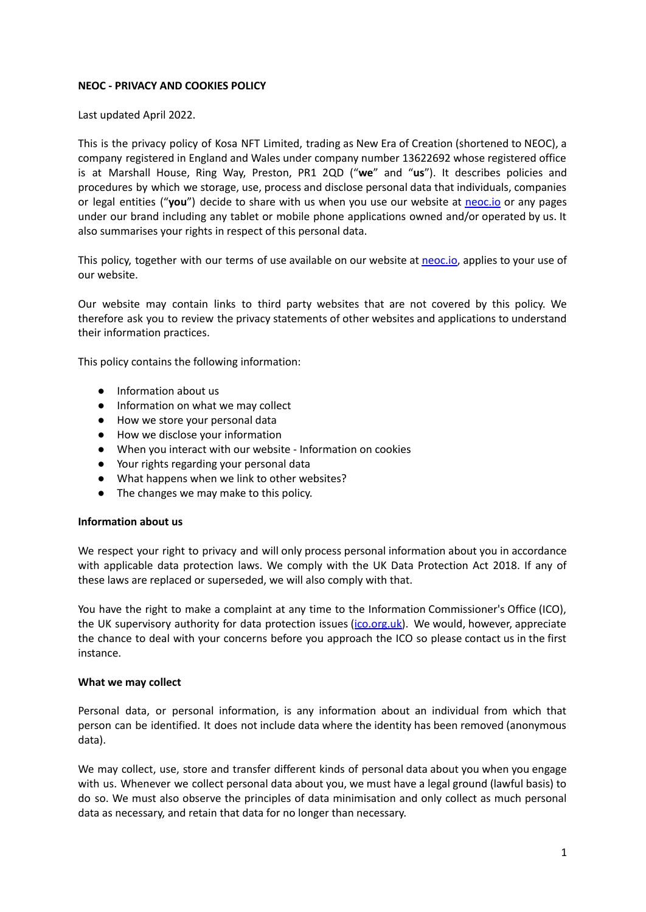# **NEOC - PRIVACY AND COOKIES POLICY**

Last updated April 2022.

This is the privacy policy of Kosa NFT Limited, trading as New Era of Creation (shortened to NEOC), a company registered in England and Wales under company number 13622692 whose registered office is at Marshall House, Ring Way, Preston, PR1 2QD ("**we**" and "**us**"). It describes policies and procedures by which we storage, use, process and disclose personal data that individuals, companies or legal entities ("**you**") decide to share with us when you use our website at [neoc.io](https://neoc.io/) or any pages under our brand including any tablet or mobile phone applications owned and/or operated by us. It also summarises your rights in respect of this personal data.

This policy, together with our terms of use available on our website at [neoc.io](https://neoc.io/), applies to your use of our website.

Our website may contain links to third party websites that are not covered by this policy. We therefore ask you to review the privacy statements of other websites and applications to understand their information practices.

This policy contains the following information:

- Information about us
- Information on what we may collect
- How we store your personal data
- How we disclose your information
- When you interact with our website Information on cookies
- Your rights regarding your personal data
- What happens when we link to other websites?
- The changes we may make to this policy.

#### **Information about us**

We respect your right to privacy and will only process personal information about you in accordance with applicable data protection laws. We comply with the UK Data Protection Act 2018. If any of these laws are replaced or superseded, we will also comply with that.

You have the right to make a complaint at any time to the Information Commissioner's Office (ICO), the UK supervisory authority for data protection issues [\(ico.org.uk\)](http://www.ico.org.uk/). We would, however, appreciate the chance to deal with your concerns before you approach the ICO so please contact us in the first instance.

#### **What we may collect**

Personal data, or personal information, is any information about an individual from which that person can be identified. It does not include data where the identity has been removed (anonymous data).

We may collect, use, store and transfer different kinds of personal data about you when you engage with us. Whenever we collect personal data about you, we must have a legal ground (lawful basis) to do so. We must also observe the principles of data minimisation and only collect as much personal data as necessary, and retain that data for no longer than necessary.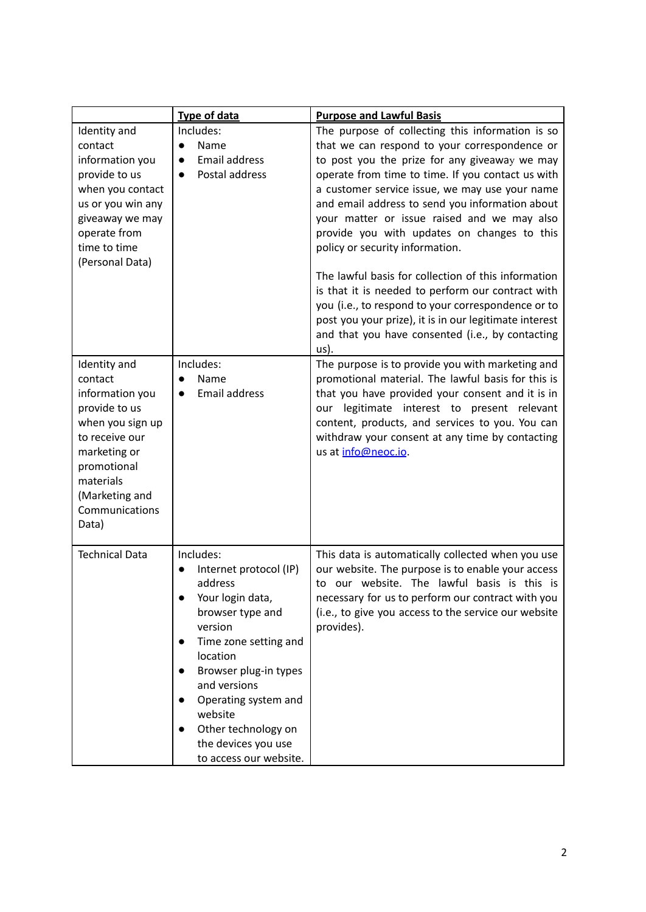|                                                                                                                                                                                            | <b>Type of data</b>                                                                                                                                                                                                                                                                                                  | <b>Purpose and Lawful Basis</b>                                                                                                                                                                                                                                                                                                                                                                                                                                                                                                                                                                                                                                                                                                       |
|--------------------------------------------------------------------------------------------------------------------------------------------------------------------------------------------|----------------------------------------------------------------------------------------------------------------------------------------------------------------------------------------------------------------------------------------------------------------------------------------------------------------------|---------------------------------------------------------------------------------------------------------------------------------------------------------------------------------------------------------------------------------------------------------------------------------------------------------------------------------------------------------------------------------------------------------------------------------------------------------------------------------------------------------------------------------------------------------------------------------------------------------------------------------------------------------------------------------------------------------------------------------------|
| Identity and<br>contact<br>information you<br>provide to us<br>when you contact<br>us or you win any<br>giveaway we may<br>operate from<br>time to time<br>(Personal Data)                 | Includes:<br>Name<br>$\bullet$<br><b>Email address</b><br>$\bullet$<br>Postal address<br>$\bullet$                                                                                                                                                                                                                   | The purpose of collecting this information is so<br>that we can respond to your correspondence or<br>to post you the prize for any giveaway we may<br>operate from time to time. If you contact us with<br>a customer service issue, we may use your name<br>and email address to send you information about<br>your matter or issue raised and we may also<br>provide you with updates on changes to this<br>policy or security information.<br>The lawful basis for collection of this information<br>is that it is needed to perform our contract with<br>you (i.e., to respond to your correspondence or to<br>post you your prize), it is in our legitimate interest<br>and that you have consented (i.e., by contacting<br>us). |
| Identity and<br>contact<br>information you<br>provide to us<br>when you sign up<br>to receive our<br>marketing or<br>promotional<br>materials<br>(Marketing and<br>Communications<br>Data) | Includes:<br>Name<br><b>Email address</b><br>●                                                                                                                                                                                                                                                                       | The purpose is to provide you with marketing and<br>promotional material. The lawful basis for this is<br>that you have provided your consent and it is in<br>our legitimate interest to present relevant<br>content, products, and services to you. You can<br>withdraw your consent at any time by contacting<br>us at info@neoc.io.                                                                                                                                                                                                                                                                                                                                                                                                |
| <b>Technical Data</b>                                                                                                                                                                      | Includes:<br>Internet protocol (IP)<br>$\bullet$<br>address<br>Your login data,<br>browser type and<br>version<br>Time zone setting and<br>$\bullet$<br>location<br>Browser plug-in types<br>and versions<br>Operating system and<br>website<br>Other technology on<br>the devices you use<br>to access our website. | This data is automatically collected when you use<br>our website. The purpose is to enable your access<br>to our website. The lawful basis is this is<br>necessary for us to perform our contract with you<br>(i.e., to give you access to the service our website<br>provides).                                                                                                                                                                                                                                                                                                                                                                                                                                                      |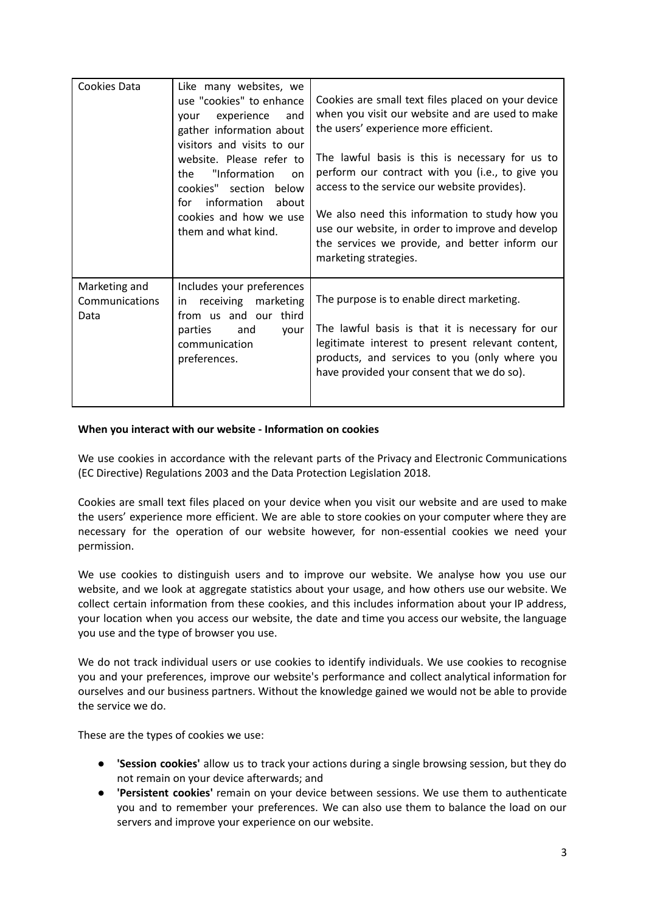| Cookies Data                            | Like many websites, we<br>use "cookies" to enhance<br>experience<br>and<br>vour<br>gather information about<br>visitors and visits to our<br>website. Please refer to<br>"Information<br>the<br>on<br>cookies" section below<br>information<br>about<br>for<br>cookies and how we use<br>them and what kind. | Cookies are small text files placed on your device<br>when you visit our website and are used to make<br>the users' experience more efficient.<br>The lawful basis is this is necessary for us to<br>perform our contract with you (i.e., to give you<br>access to the service our website provides).<br>We also need this information to study how you<br>use our website, in order to improve and develop<br>the services we provide, and better inform our<br>marketing strategies. |
|-----------------------------------------|--------------------------------------------------------------------------------------------------------------------------------------------------------------------------------------------------------------------------------------------------------------------------------------------------------------|----------------------------------------------------------------------------------------------------------------------------------------------------------------------------------------------------------------------------------------------------------------------------------------------------------------------------------------------------------------------------------------------------------------------------------------------------------------------------------------|
| Marketing and<br>Communications<br>Data | Includes your preferences<br>in receiving<br>marketing<br>from us and our third<br>parties<br>and<br>your<br>communication<br>preferences.                                                                                                                                                                   | The purpose is to enable direct marketing.<br>The lawful basis is that it is necessary for our<br>legitimate interest to present relevant content,<br>products, and services to you (only where you<br>have provided your consent that we do so).                                                                                                                                                                                                                                      |

# **When you interact with our website - Information on cookies**

We use cookies in accordance with the relevant parts of the Privacy and Electronic Communications (EC Directive) Regulations 2003 and the Data Protection Legislation 2018.

Cookies are small text files placed on your device when you visit our website and are used to make the users' experience more efficient. We are able to store cookies on your computer where they are necessary for the operation of our website however, for non-essential cookies we need your permission.

We use cookies to distinguish users and to improve our website. We analyse how you use our website, and we look at aggregate statistics about your usage, and how others use our website. We collect certain information from these cookies, and this includes information about your IP address, your location when you access our website, the date and time you access our website, the language you use and the type of browser you use.

We do not track individual users or use cookies to identify individuals. We use cookies to recognise you and your preferences, improve our website's performance and collect analytical information for ourselves and our business partners. Without the knowledge gained we would not be able to provide the service we do.

These are the types of cookies we use:

- **'Session cookies'** allow us to track your actions during a single browsing session, but they do not remain on your device afterwards; and
- **'Persistent cookies'** remain on your device between sessions. We use them to authenticate you and to remember your preferences. We can also use them to balance the load on our servers and improve your experience on our website.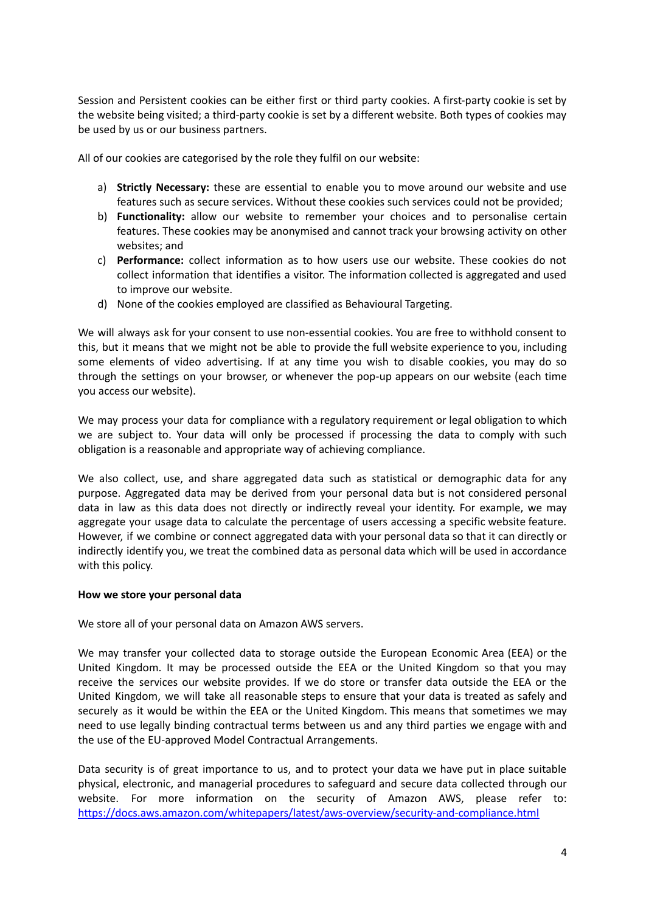Session and Persistent cookies can be either first or third party cookies. A first-party cookie is set by the website being visited; a third-party cookie is set by a different website. Both types of cookies may be used by us or our business partners.

All of our cookies are categorised by the role they fulfil on our website:

- a) **Strictly Necessary:** these are essential to enable you to move around our website and use features such as secure services. Without these cookies such services could not be provided;
- b) **Functionality:** allow our website to remember your choices and to personalise certain features. These cookies may be anonymised and cannot track your browsing activity on other websites; and
- c) **Performance:** collect information as to how users use our website. These cookies do not collect information that identifies a visitor. The information collected is aggregated and used to improve our website.
- d) None of the cookies employed are classified as Behavioural Targeting.

We will always ask for your consent to use non-essential cookies. You are free to withhold consent to this, but it means that we might not be able to provide the full website experience to you, including some elements of video advertising. If at any time you wish to disable cookies, you may do so through the settings on your browser, or whenever the pop-up appears on our website (each time you access our website).

We may process your data for compliance with a regulatory requirement or legal obligation to which we are subject to. Your data will only be processed if processing the data to comply with such obligation is a reasonable and appropriate way of achieving compliance.

We also collect, use, and share aggregated data such as statistical or demographic data for any purpose. Aggregated data may be derived from your personal data but is not considered personal data in law as this data does not directly or indirectly reveal your identity. For example, we may aggregate your usage data to calculate the percentage of users accessing a specific website feature. However, if we combine or connect aggregated data with your personal data so that it can directly or indirectly identify you, we treat the combined data as personal data which will be used in accordance with this policy.

# **How we store your personal data**

We store all of your personal data on Amazon AWS servers.

We may transfer your collected data to storage outside the European Economic Area (EEA) or the United Kingdom. It may be processed outside the EEA or the United Kingdom so that you may receive the services our website provides. If we do store or transfer data outside the EEA or the United Kingdom, we will take all reasonable steps to ensure that your data is treated as safely and securely as it would be within the EEA or the United Kingdom. This means that sometimes we may need to use legally binding contractual terms between us and any third parties we engage with and the use of the EU-approved Model Contractual Arrangements.

Data security is of great importance to us, and to protect your data we have put in place suitable physical, electronic, and managerial procedures to safeguard and secure data collected through our website. For more information on the security of Amazon AWS, please refer to: <https://docs.aws.amazon.com/whitepapers/latest/aws-overview/security-and-compliance.html>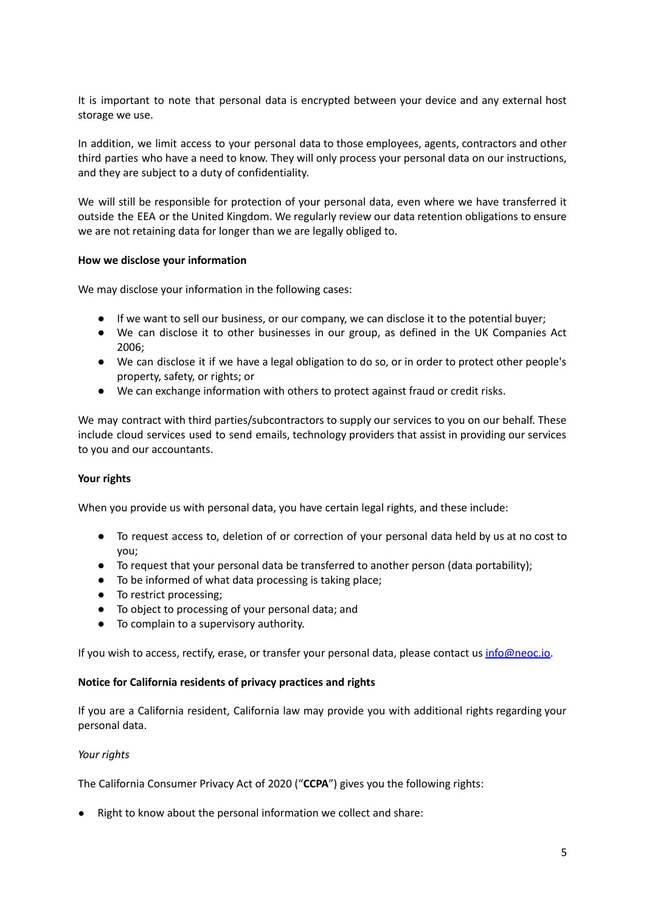It is important to note that personal data is encrypted between your device and any external host storage we use.

In addition, we limit access to your personal data to those employees, agents, contractors and other third parties who have a need to know. They will only process your personal data on our instructions, and they are subject to a duty of confidentiality.

We will still be responsible for protection of your personal data, even where we have transferred it outside the EEA or the United Kingdom. We regularly review our data retention obligations to ensure we are not retaining data for longer than we are legally obliged to.

# **How we disclose your information**

We may disclose your information in the following cases:

- If we want to sell our business, or our company, we can disclose it to the potential buyer;
- We can disclose it to other businesses in our group, as defined in the UK Companies Act 2006;
- We can disclose it if we have a legal obligation to do so, or in order to protect other people's property, safety, or rights; or
- We can exchange information with others to protect against fraud or credit risks.

We may contract with third parties/subcontractors to supply our services to you on our behalf. These include cloud services used to send emails, technology providers that assist in providing our services to you and our accountants.

#### **Your rights**

When you provide us with personal data, you have certain legal rights, and these include:

- To request access to, deletion of or correction of your personal data held by us at no cost to you;
- To request that your personal data be transferred to another person (data portability);
- To be informed of what data processing is taking place;
- To restrict processing;
- To object to processing of your personal data; and
- To complain to a supervisory authority.

If you wish to access, rectify, erase, or transfer your personal data, please contact us [info@neoc.io.](mailto:info@neoc.io)

#### **Notice for California residents of privacy practices and rights**

If you are a California resident, California law may provide you with additional rights regarding your personal data.

#### *Your rights*

The California Consumer Privacy Act of 2020 ("**CCPA**") gives you the following rights:

● Right to know about the personal information we collect and share: